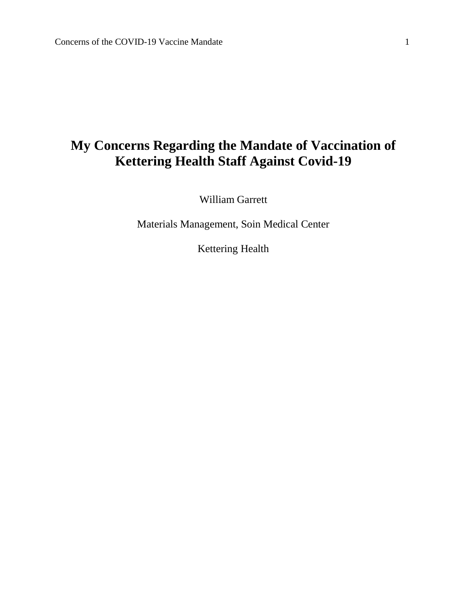# **My Concerns Regarding the Mandate of Vaccination of Kettering Health Staff Against Covid-19**

William Garrett

Materials Management, Soin Medical Center

Kettering Health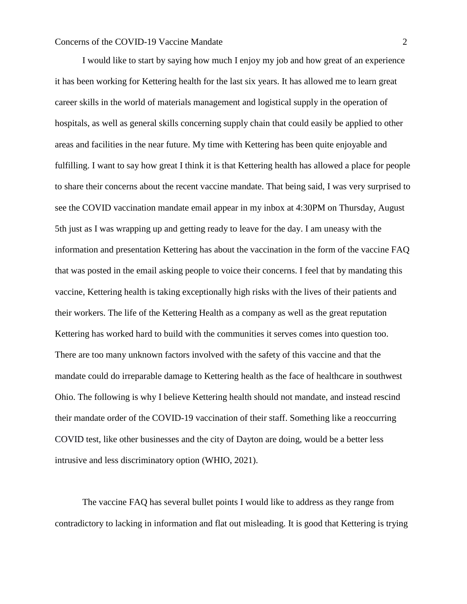I would like to start by saying how much I enjoy my job and how great of an experience it has been working for Kettering health for the last six years. It has allowed me to learn great career skills in the world of materials management and logistical supply in the operation of hospitals, as well as general skills concerning supply chain that could easily be applied to other areas and facilities in the near future. My time with Kettering has been quite enjoyable and fulfilling. I want to say how great I think it is that Kettering health has allowed a place for people to share their concerns about the recent vaccine mandate. That being said, I was very surprised to see the COVID vaccination mandate email appear in my inbox at 4:30PM on Thursday, August 5th just as I was wrapping up and getting ready to leave for the day. I am uneasy with the information and presentation Kettering has about the vaccination in the form of the vaccine FAQ that was posted in the email asking people to voice their concerns. I feel that by mandating this vaccine, Kettering health is taking exceptionally high risks with the lives of their patients and their workers. The life of the Kettering Health as a company as well as the great reputation Kettering has worked hard to build with the communities it serves comes into question too. There are too many unknown factors involved with the safety of this vaccine and that the mandate could do irreparable damage to Kettering health as the face of healthcare in southwest Ohio. The following is why I believe Kettering health should not mandate, and instead rescind their mandate order of the COVID-19 vaccination of their staff. Something like a reoccurring COVID test, like other businesses and the city of Dayton are doing, would be a better less intrusive and less discriminatory option (WHIO, 2021).

The vaccine FAQ has several bullet points I would like to address as they range from contradictory to lacking in information and flat out misleading. It is good that Kettering is trying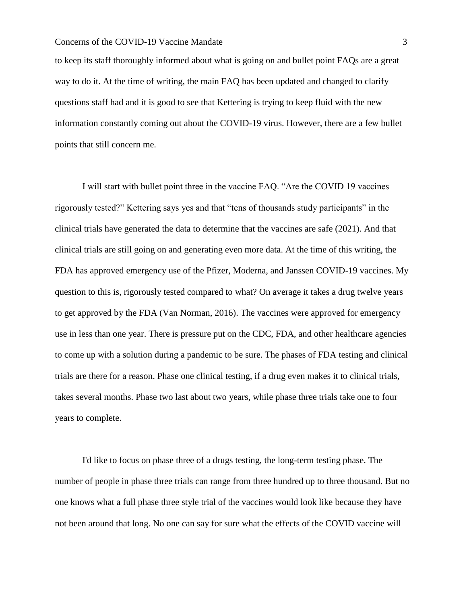to keep its staff thoroughly informed about what is going on and bullet point FAQs are a great way to do it. At the time of writing, the main FAQ has been updated and changed to clarify questions staff had and it is good to see that Kettering is trying to keep fluid with the new information constantly coming out about the COVID-19 virus. However, there are a few bullet points that still concern me.

I will start with bullet point three in the vaccine FAQ. "Are the COVID 19 vaccines rigorously tested?" Kettering says yes and that "tens of thousands study participants" in the clinical trials have generated the data to determine that the vaccines are safe (2021). And that clinical trials are still going on and generating even more data. At the time of this writing, the FDA has approved emergency use of the Pfizer, Moderna, and Janssen COVID-19 vaccines. My question to this is, rigorously tested compared to what? On average it takes a drug twelve years to get approved by the FDA (Van Norman, 2016). The vaccines were approved for emergency use in less than one year. There is pressure put on the CDC, FDA, and other healthcare agencies to come up with a solution during a pandemic to be sure. The phases of FDA testing and clinical trials are there for a reason. Phase one clinical testing, if a drug even makes it to clinical trials, takes several months. Phase two last about two years, while phase three trials take one to four years to complete.

I'd like to focus on phase three of a drugs testing, the long-term testing phase. The number of people in phase three trials can range from three hundred up to three thousand. But no one knows what a full phase three style trial of the vaccines would look like because they have not been around that long. No one can say for sure what the effects of the COVID vaccine will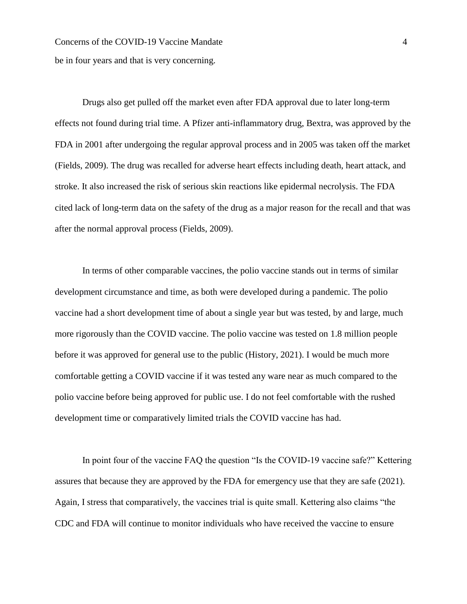Concerns of the COVID-19 Vaccine Mandate 4 be in four years and that is very concerning.

Drugs also get pulled off the market even after FDA approval due to later long-term effects not found during trial time. A Pfizer anti-inflammatory drug, Bextra, was approved by the FDA in 2001 after undergoing the regular approval process and in 2005 was taken off the market (Fields, 2009). The drug was recalled for adverse heart effects including death, heart attack, and stroke. It also increased the risk of serious skin reactions like epidermal necrolysis. The FDA cited lack of long-term data on the safety of the drug as a major reason for the recall and that was after the normal approval process (Fields, 2009).

In terms of other comparable vaccines, the polio vaccine stands out in terms of similar development circumstance and time, as both were developed during a pandemic. The polio vaccine had a short development time of about a single year but was tested, by and large, much more rigorously than the COVID vaccine. The polio vaccine was tested on 1.8 million people before it was approved for general use to the public (History, 2021). I would be much more comfortable getting a COVID vaccine if it was tested any ware near as much compared to the polio vaccine before being approved for public use. I do not feel comfortable with the rushed development time or comparatively limited trials the COVID vaccine has had.

In point four of the vaccine FAQ the question "Is the COVID-19 vaccine safe?" Kettering assures that because they are approved by the FDA for emergency use that they are safe (2021). Again, I stress that comparatively, the vaccines trial is quite small. Kettering also claims "the CDC and FDA will continue to monitor individuals who have received the vaccine to ensure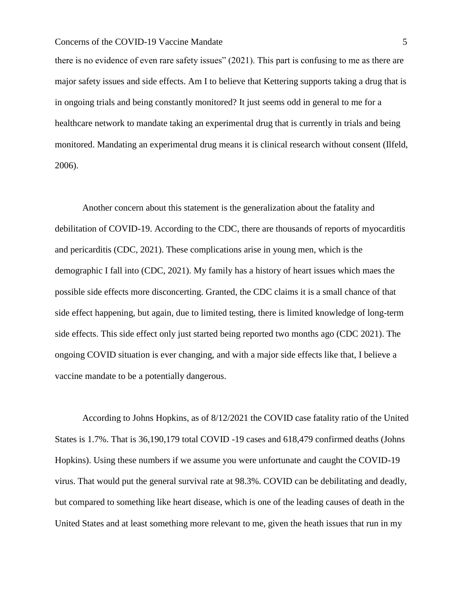there is no evidence of even rare safety issues" (2021). This part is confusing to me as there are major safety issues and side effects. Am I to believe that Kettering supports taking a drug that is in ongoing trials and being constantly monitored? It just seems odd in general to me for a healthcare network to mandate taking an experimental drug that is currently in trials and being monitored. Mandating an experimental drug means it is clinical research without consent (Ilfeld, 2006).

Another concern about this statement is the generalization about the fatality and debilitation of COVID-19. According to the CDC, there are thousands of reports of myocarditis and pericarditis (CDC, 2021). These complications arise in young men, which is the demographic I fall into (CDC, 2021). My family has a history of heart issues which maes the possible side effects more disconcerting. Granted, the CDC claims it is a small chance of that side effect happening, but again, due to limited testing, there is limited knowledge of long-term side effects. This side effect only just started being reported two months ago (CDC 2021). The ongoing COVID situation is ever changing, and with a major side effects like that, I believe a vaccine mandate to be a potentially dangerous.

According to Johns Hopkins, as of 8/12/2021 the COVID case fatality ratio of the United States is 1.7%. That is 36,190,179 total COVID -19 cases and 618,479 confirmed deaths (Johns Hopkins). Using these numbers if we assume you were unfortunate and caught the COVID-19 virus. That would put the general survival rate at 98.3%. COVID can be debilitating and deadly, but compared to something like heart disease, which is one of the leading causes of death in the United States and at least something more relevant to me, given the heath issues that run in my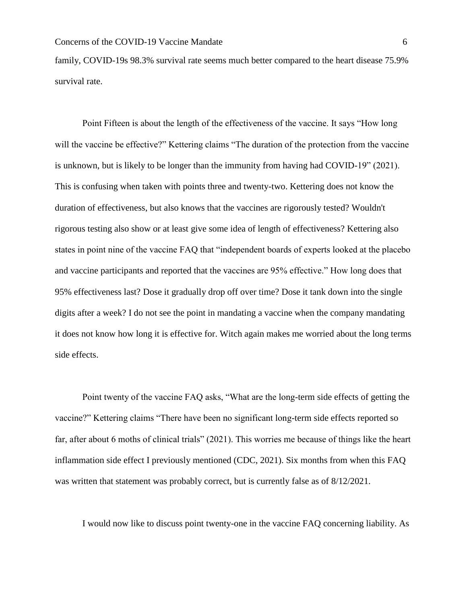family, COVID-19s 98.3% survival rate seems much better compared to the heart disease 75.9% survival rate.

Point Fifteen is about the length of the effectiveness of the vaccine. It says "How long will the vaccine be effective?" Kettering claims "The duration of the protection from the vaccine is unknown, but is likely to be longer than the immunity from having had COVID-19" (2021). This is confusing when taken with points three and twenty-two. Kettering does not know the duration of effectiveness, but also knows that the vaccines are rigorously tested? Wouldn't rigorous testing also show or at least give some idea of length of effectiveness? Kettering also states in point nine of the vaccine FAQ that "independent boards of experts looked at the placebo and vaccine participants and reported that the vaccines are 95% effective." How long does that 95% effectiveness last? Dose it gradually drop off over time? Dose it tank down into the single digits after a week? I do not see the point in mandating a vaccine when the company mandating it does not know how long it is effective for. Witch again makes me worried about the long terms side effects.

Point twenty of the vaccine FAQ asks, "What are the long-term side effects of getting the vaccine?" Kettering claims "There have been no significant long-term side effects reported so far, after about 6 moths of clinical trials" (2021). This worries me because of things like the heart inflammation side effect I previously mentioned (CDC, 2021). Six months from when this FAQ was written that statement was probably correct, but is currently false as of  $8/12/2021$ .

I would now like to discuss point twenty-one in the vaccine FAQ concerning liability. As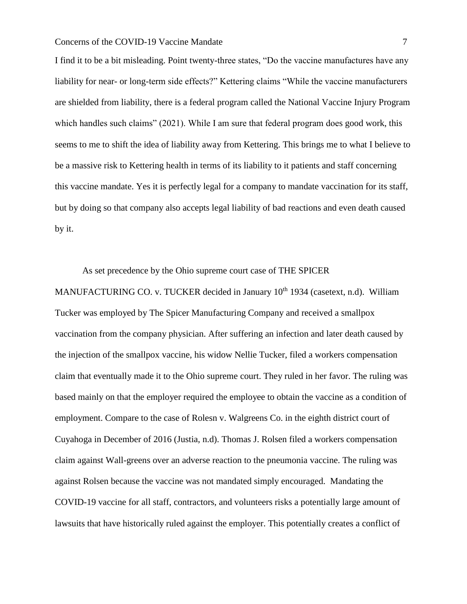I find it to be a bit misleading. Point twenty-three states, "Do the vaccine manufactures have any liability for near- or long-term side effects?" Kettering claims "While the vaccine manufacturers are shielded from liability, there is a federal program called the National Vaccine Injury Program which handles such claims" (2021). While I am sure that federal program does good work, this seems to me to shift the idea of liability away from Kettering. This brings me to what I believe to be a massive risk to Kettering health in terms of its liability to it patients and staff concerning this vaccine mandate. Yes it is perfectly legal for a company to mandate vaccination for its staff, but by doing so that company also accepts legal liability of bad reactions and even death caused by it.

As set precedence by the Ohio supreme court case of THE SPICER MANUFACTURING CO. v. TUCKER decided in January 10<sup>th</sup> 1934 (casetext, n.d). William Tucker was employed by The Spicer Manufacturing Company and received a smallpox vaccination from the company physician. After suffering an infection and later death caused by the injection of the smallpox vaccine, his widow Nellie Tucker, filed a workers compensation claim that eventually made it to the Ohio supreme court. They ruled in her favor. The ruling was based mainly on that the employer required the employee to obtain the vaccine as a condition of employment. Compare to the case of Rolesn v. Walgreens Co. in the eighth district court of Cuyahoga in December of 2016 (Justia, n.d). Thomas J. Rolsen filed a workers compensation claim against Wall-greens over an adverse reaction to the pneumonia vaccine. The ruling was against Rolsen because the vaccine was not mandated simply encouraged. Mandating the COVID-19 vaccine for all staff, contractors, and volunteers risks a potentially large amount of lawsuits that have historically ruled against the employer. This potentially creates a conflict of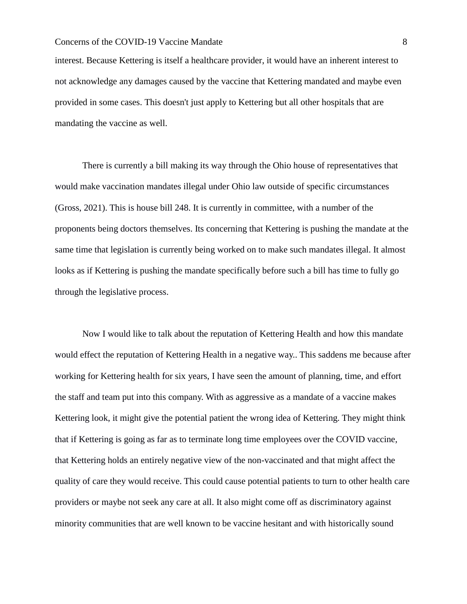interest. Because Kettering is itself a healthcare provider, it would have an inherent interest to not acknowledge any damages caused by the vaccine that Kettering mandated and maybe even provided in some cases. This doesn't just apply to Kettering but all other hospitals that are mandating the vaccine as well.

There is currently a bill making its way through the Ohio house of representatives that would make vaccination mandates illegal under Ohio law outside of specific circumstances (Gross, 2021). This is house bill 248. It is currently in committee, with a number of the proponents being doctors themselves. Its concerning that Kettering is pushing the mandate at the same time that legislation is currently being worked on to make such mandates illegal. It almost looks as if Kettering is pushing the mandate specifically before such a bill has time to fully go through the legislative process.

Now I would like to talk about the reputation of Kettering Health and how this mandate would effect the reputation of Kettering Health in a negative way.. This saddens me because after working for Kettering health for six years, I have seen the amount of planning, time, and effort the staff and team put into this company. With as aggressive as a mandate of a vaccine makes Kettering look, it might give the potential patient the wrong idea of Kettering. They might think that if Kettering is going as far as to terminate long time employees over the COVID vaccine, that Kettering holds an entirely negative view of the non-vaccinated and that might affect the quality of care they would receive. This could cause potential patients to turn to other health care providers or maybe not seek any care at all. It also might come off as discriminatory against minority communities that are well known to be vaccine hesitant and with historically sound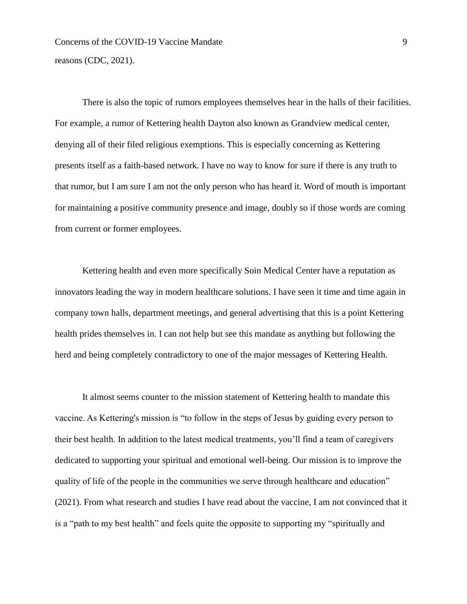Concerns of the COVID-19 Vaccine Mandate 9 reasons (CDC, 2021).

There is also the topic of rumors employees themselves hear in the halls of their facilities. For example, a rumor of Kettering health Dayton also known as Grandview medical center, denying all of their filed religious exemptions. This is especially concerning as Kettering presents itself as a faith-based network. I have no way to know for sure if there is any truth to that rumor, but I am sure I am not the only person who has heard it. Word of mouth is important for maintaining a positive community presence and image, doubly so if those words are coming from current or former employees.

Kettering health and even more specifically Soin Medical Center have a reputation as innovators leading the way in modern healthcare solutions. I have seen it time and time again in company town halls, department meetings, and general advertising that this is a point Kettering health prides themselves in. I can not help but see this mandate as anything but following the herd and being completely contradictory to one of the major messages of Kettering Health.

It almost seems counter to the mission statement of Kettering health to mandate this vaccine. As Kettering's mission is "to follow in the steps of Jesus by guiding every person to their best health. In addition to the latest medical treatments, you'll find a team of caregivers dedicated to supporting your spiritual and emotional well-being. Our mission is to improve the quality of life of the people in the communities we serve through healthcare and education" (2021). From what research and studies I have read about the vaccine, I am not convinced that it is a "path to my best health" and feels quite the opposite to supporting my "spiritually and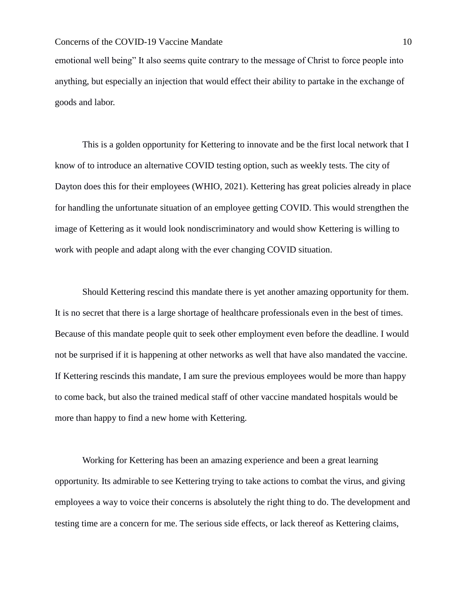emotional well being" It also seems quite contrary to the message of Christ to force people into anything, but especially an injection that would effect their ability to partake in the exchange of goods and labor.

This is a golden opportunity for Kettering to innovate and be the first local network that I know of to introduce an alternative COVID testing option, such as weekly tests. The city of Dayton does this for their employees (WHIO, 2021). Kettering has great policies already in place for handling the unfortunate situation of an employee getting COVID. This would strengthen the image of Kettering as it would look nondiscriminatory and would show Kettering is willing to work with people and adapt along with the ever changing COVID situation.

Should Kettering rescind this mandate there is yet another amazing opportunity for them. It is no secret that there is a large shortage of healthcare professionals even in the best of times. Because of this mandate people quit to seek other employment even before the deadline. I would not be surprised if it is happening at other networks as well that have also mandated the vaccine. If Kettering rescinds this mandate, I am sure the previous employees would be more than happy to come back, but also the trained medical staff of other vaccine mandated hospitals would be more than happy to find a new home with Kettering.

Working for Kettering has been an amazing experience and been a great learning opportunity. Its admirable to see Kettering trying to take actions to combat the virus, and giving employees a way to voice their concerns is absolutely the right thing to do. The development and testing time are a concern for me. The serious side effects, or lack thereof as Kettering claims,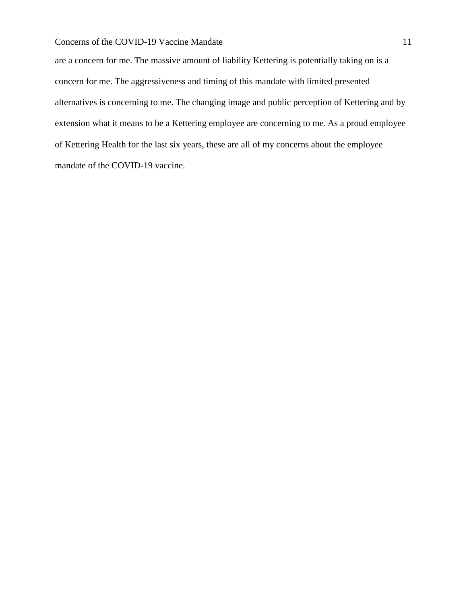are a concern for me. The massive amount of liability Kettering is potentially taking on is a concern for me. The aggressiveness and timing of this mandate with limited presented alternatives is concerning to me. The changing image and public perception of Kettering and by extension what it means to be a Kettering employee are concerning to me. As a proud employee of Kettering Health for the last six years, these are all of my concerns about the employee mandate of the COVID-19 vaccine.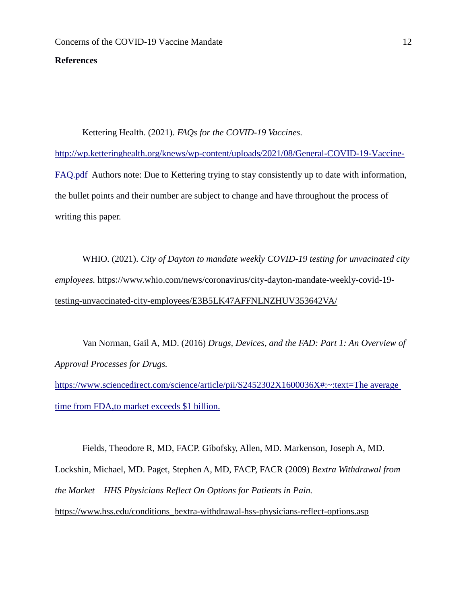#### **References**

Kettering Health. (2021). *FAQs for the COVID-19 Vaccines.*  [http://wp.ketteringhealth.org/knews/wp-content/uploads/2021/08/General-COVID-19-Vaccine-](http://wp.ketteringhealth.org/knews/wp-content/uploads/2021/08/General-COVID-19-Vaccine-FAQ.pdf)[FAQ.pdf](http://wp.ketteringhealth.org/knews/wp-content/uploads/2021/08/General-COVID-19-Vaccine-FAQ.pdf) Authors note: Due to Kettering trying to stay consistently up to date with information, the bullet points and their number are subject to change and have throughout the process of writing this paper.

WHIO. (2021). *City of Dayton to mandate weekly COVID-19 testing for unvacinated city employees.* [https://www.whio.com/news/coronavirus/city-dayton-mandate-weekly-covid-19](https://www.whio.com/news/coronavirus/city-dayton-mandate-weekly-covid-19-testing-unvaccinated-city-employees/E3B5LK47AFFNLNZHUV353642VA/) [testing-unvaccinated-city-employees/E3B5LK47AFFNLNZHUV353642VA/](https://www.whio.com/news/coronavirus/city-dayton-mandate-weekly-covid-19-testing-unvaccinated-city-employees/E3B5LK47AFFNLNZHUV353642VA/)

Van Norman, Gail A, MD. (2016) *Drugs, Devices, and the FAD: Part 1: An Overview of Approval Processes for Drugs.* 

https://www.sciencedirect.com/science/article/pii/S2452302X1600036X#:~:text=The average [time from FDA,to market exceeds \\$1 billion.](https://www.sciencedirect.com/science/article/pii/S2452302X1600036X#:~:text=The average time from FDA,to market exceeds $1 billion.)

Fields, Theodore R, MD, FACP. Gibofsky, Allen, MD. Markenson, Joseph A, MD. Lockshin, Michael, MD. Paget, Stephen A, MD, FACP, FACR (2009) *Bextra Withdrawal from the Market – HHS Physicians Reflect On Options for Patients in Pain.*  [https://www.hss.edu/conditions\\_bextra-withdrawal-hss-physicians-reflect-options.asp](https://www.hss.edu/conditions_bextra-withdrawal-hss-physicians-reflect-options.asp)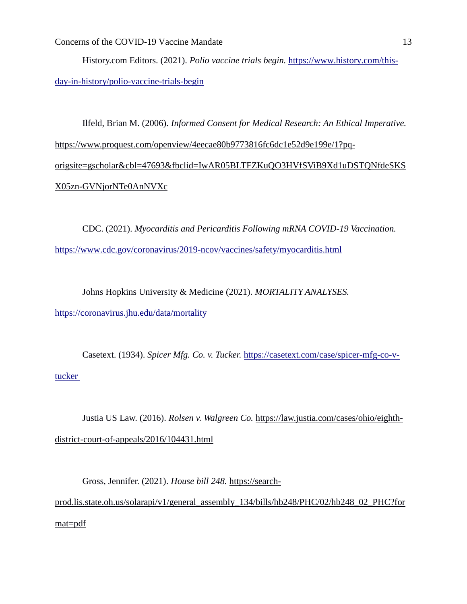History.com Editors. (2021). *Polio vaccine trials begin.* [https://www.history.com/this](https://www.history.com/this-day-in-history/polio-vaccine-trials-begin)[day-in-history/polio-vaccine-trials-begin](https://www.history.com/this-day-in-history/polio-vaccine-trials-begin)

Ilfeld, Brian M. (2006). *Informed Consent for Medical Research: An Ethical Imperative.*  [https://www.proquest.com/openview/4eecae80b9773816fc6dc1e52d9e199e/1?pq](https://www.proquest.com/openview/4eecae80b9773816fc6dc1e52d9e199e/1?pq-origsite=gscholar&cbl=47693&fbclid=IwAR05BLTFZKuQO3HVfSViB9Xd1uDSTQNfdeSKSX05zn-GVNjorNTe0AnNVXc)[origsite=gscholar&cbl=47693&fbclid=IwAR05BLTFZKuQO3HVfSViB9Xd1uDSTQNfdeSKS](https://www.proquest.com/openview/4eecae80b9773816fc6dc1e52d9e199e/1?pq-origsite=gscholar&cbl=47693&fbclid=IwAR05BLTFZKuQO3HVfSViB9Xd1uDSTQNfdeSKSX05zn-GVNjorNTe0AnNVXc) [X05zn-GVNjorNTe0AnNVXc](https://www.proquest.com/openview/4eecae80b9773816fc6dc1e52d9e199e/1?pq-origsite=gscholar&cbl=47693&fbclid=IwAR05BLTFZKuQO3HVfSViB9Xd1uDSTQNfdeSKSX05zn-GVNjorNTe0AnNVXc)

CDC. (2021). *Myocarditis and Pericarditis Following mRNA COVID-19 Vaccination.*  <https://www.cdc.gov/coronavirus/2019-ncov/vaccines/safety/myocarditis.html>

Johns Hopkins University & Medicine (2021). *MORTALITY ANALYSES.*  <https://coronavirus.jhu.edu/data/mortality>

Casetext. (1934). *Spicer Mfg. Co. v. Tucker.* [https://casetext.com/case/spicer-mfg-co-v](https://casetext.com/case/spicer-mfg-co-v-tucker)[tucker](https://casetext.com/case/spicer-mfg-co-v-tucker) 

Justia US Law. (2016). *Rolsen v. Walgreen Co.* [https://law.justia.com/cases/ohio/eighth](https://law.justia.com/cases/ohio/eighth-district-court-of-appeals/2016/104431.html)[district-court-of-appeals/2016/104431.html](https://law.justia.com/cases/ohio/eighth-district-court-of-appeals/2016/104431.html)

Gross, Jennifer. (2021). *House bill 248.* [https://search](https://search-prod.lis.state.oh.us/solarapi/v1/general_assembly_134/bills/hb248/PHC/02/hb248_02_PHC?format=pdf)[prod.lis.state.oh.us/solarapi/v1/general\\_assembly\\_134/bills/hb248/PHC/02/hb248\\_02\\_PHC?for](https://search-prod.lis.state.oh.us/solarapi/v1/general_assembly_134/bills/hb248/PHC/02/hb248_02_PHC?format=pdf) [mat=pdf](https://search-prod.lis.state.oh.us/solarapi/v1/general_assembly_134/bills/hb248/PHC/02/hb248_02_PHC?format=pdf)